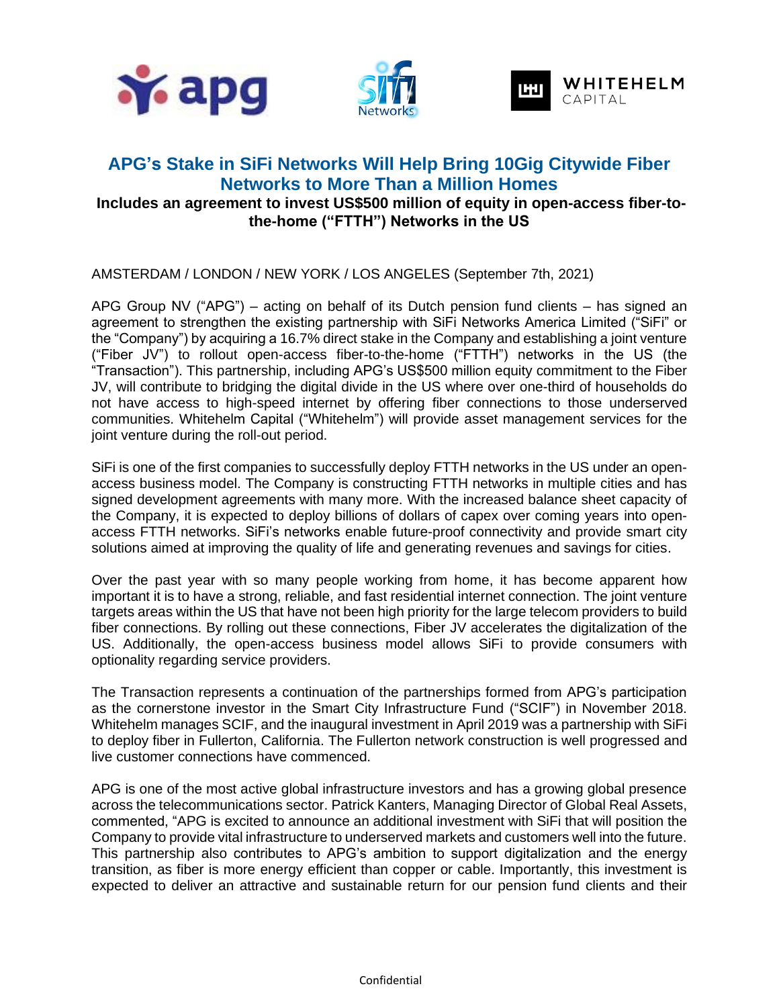





# **APG's Stake in SiFi Networks Will Help Bring 10Gig Citywide Fiber Networks to More Than a Million Homes Includes an agreement to invest US\$500 million of equity in open-access fiber-tothe-home ("FTTH") Networks in the US**

AMSTERDAM / LONDON / NEW YORK / LOS ANGELES (September 7th, 2021)

APG Group NV ("APG") – acting on behalf of its Dutch pension fund clients – has signed an agreement to strengthen the existing partnership with SiFi Networks America Limited ("SiFi" or the "Company") by acquiring a 16.7% direct stake in the Company and establishing a joint venture ("Fiber JV") to rollout open-access fiber-to-the-home ("FTTH") networks in the US (the "Transaction"). This partnership, including APG's US\$500 million equity commitment to the Fiber JV, will contribute to bridging the digital divide in the US where over one-third of households do not have access to high-speed internet by offering fiber connections to those underserved communities. Whitehelm Capital ("Whitehelm") will provide asset management services for the joint venture during the roll-out period.

SiFi is one of the first companies to successfully deploy FTTH networks in the US under an openaccess business model. The Company is constructing FTTH networks in multiple cities and has signed development agreements with many more. With the increased balance sheet capacity of the Company, it is expected to deploy billions of dollars of capex over coming years into openaccess FTTH networks. SiFi's networks enable future-proof connectivity and provide smart city solutions aimed at improving the quality of life and generating revenues and savings for cities.

Over the past year with so many people working from home, it has become apparent how important it is to have a strong, reliable, and fast residential internet connection. The joint venture targets areas within the US that have not been high priority for the large telecom providers to build fiber connections. By rolling out these connections, Fiber JV accelerates the digitalization of the US. Additionally, the open-access business model allows SiFi to provide consumers with optionality regarding service providers.

The Transaction represents a continuation of the partnerships formed from APG's participation as the cornerstone investor in the Smart City Infrastructure Fund ("SCIF") in November 2018. Whitehelm manages SCIF, and the inaugural investment in April 2019 was a partnership with SiFi to deploy fiber in Fullerton, California. The Fullerton network construction is well progressed and live customer connections have commenced.

APG is one of the most active global infrastructure investors and has a growing global presence across the telecommunications sector. Patrick Kanters, Managing Director of Global Real Assets, commented, "APG is excited to announce an additional investment with SiFi that will position the Company to provide vital infrastructure to underserved markets and customers well into the future. This partnership also contributes to APG's ambition to support digitalization and the energy transition, as fiber is more energy efficient than copper or cable. Importantly, this investment is expected to deliver an attractive and sustainable return for our pension fund clients and their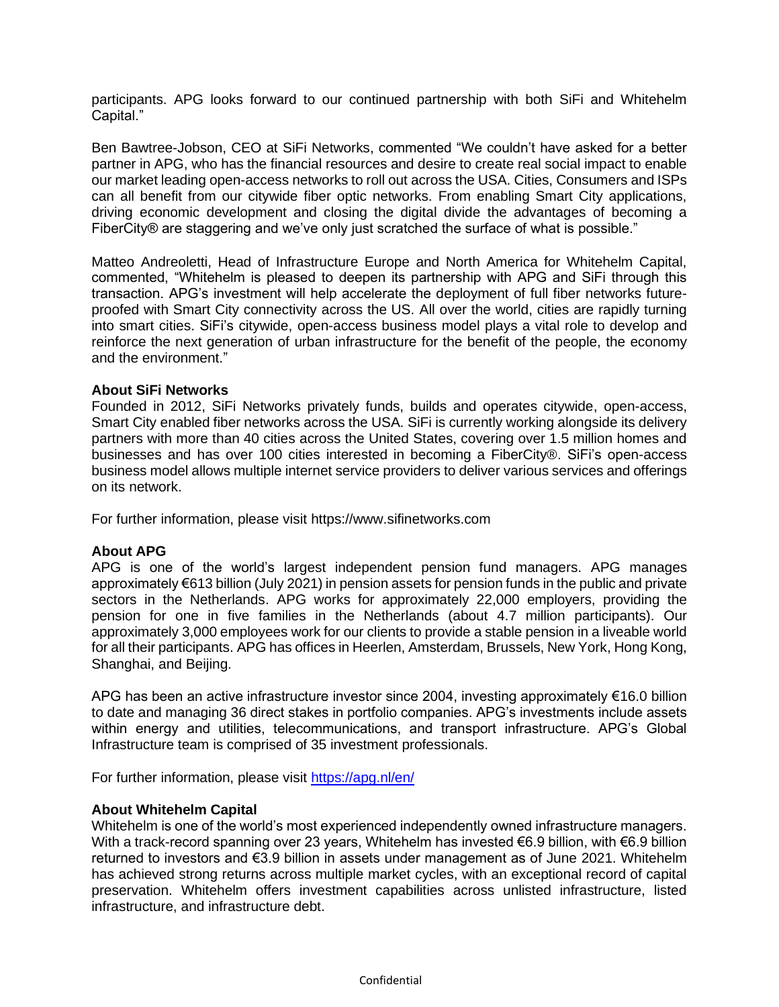participants. APG looks forward to our continued partnership with both SiFi and Whitehelm Capital."

Ben Bawtree-Jobson, CEO at SiFi Networks, commented "We couldn't have asked for a better partner in APG, who has the financial resources and desire to create real social impact to enable our market leading open-access networks to roll out across the USA. Cities, Consumers and ISPs can all benefit from our citywide fiber optic networks. From enabling Smart City applications, driving economic development and closing the digital divide the advantages of becoming a FiberCity® are staggering and we've only just scratched the surface of what is possible."

Matteo Andreoletti, Head of Infrastructure Europe and North America for Whitehelm Capital, commented, "Whitehelm is pleased to deepen its partnership with APG and SiFi through this transaction. APG's investment will help accelerate the deployment of full fiber networks futureproofed with Smart City connectivity across the US. All over the world, cities are rapidly turning into smart cities. SiFi's citywide, open-access business model plays a vital role to develop and reinforce the next generation of urban infrastructure for the benefit of the people, the economy and the environment."

### **About SiFi Networks**

Founded in 2012, SiFi Networks privately funds, builds and operates citywide, open-access, Smart City enabled fiber networks across the USA. SiFi is currently working alongside its delivery partners with more than 40 cities across the United States, covering over 1.5 million homes and businesses and has over 100 cities interested in becoming a FiberCity®. SiFi's open-access business model allows multiple internet service providers to deliver various services and offerings on its network.

For further information, please visit https://www.sifinetworks.com

### **About APG**

APG is one of the world's largest independent pension fund managers. APG manages approximately €613 billion (July 2021) in pension assets for pension funds in the public and private sectors in the Netherlands. APG works for approximately 22,000 employers, providing the pension for one in five families in the Netherlands (about 4.7 million participants). Our approximately 3,000 employees work for our clients to provide a stable pension in a liveable world for all their participants. APG has offices in Heerlen, Amsterdam, Brussels, New York, Hong Kong, Shanghai, and Beijing.

APG has been an active infrastructure investor since 2004, investing approximately €16.0 billion to date and managing 36 direct stakes in portfolio companies. APG's investments include assets within energy and utilities, telecommunications, and transport infrastructure. APG's Global Infrastructure team is comprised of 35 investment professionals.

For further information, please visit<https://apg.nl/en/>

### **About Whitehelm Capital**

Whitehelm is one of the world's most experienced independently owned infrastructure managers. With a track-record spanning over 23 years, Whitehelm has invested €6.9 billion, with €6.9 billion returned to investors and €3.9 billion in assets under management as of June 2021. Whitehelm has achieved strong returns across multiple market cycles, with an exceptional record of capital preservation. Whitehelm offers investment capabilities across unlisted infrastructure, listed infrastructure, and infrastructure debt.